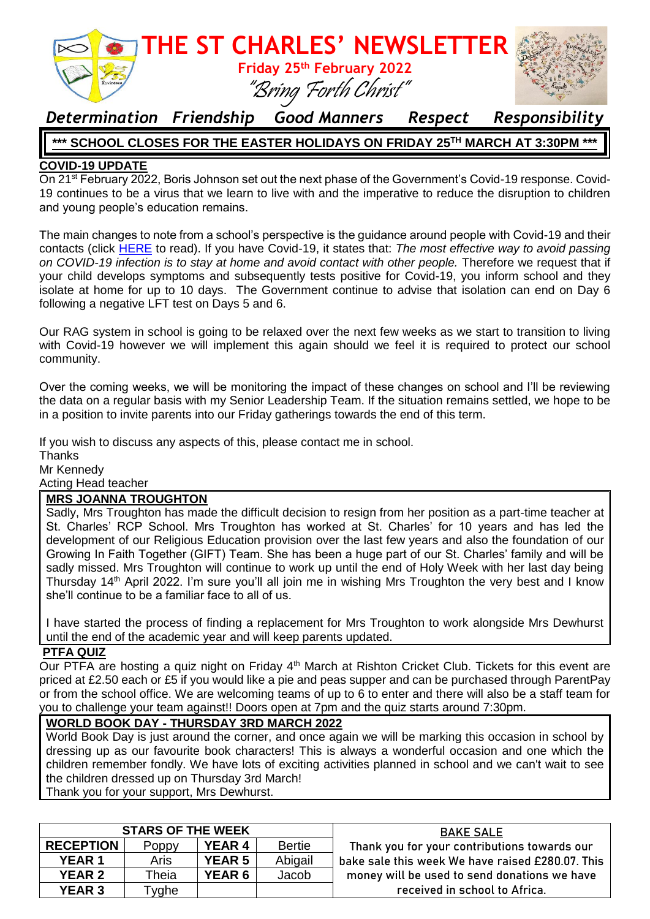

### *Determination Friendship Good Manners Respect Responsibility*

#### **\*\*\* SCHOOL CLOSES FOR THE EASTER HOLIDAYS ON FRIDAY 25TH MARCH AT 3:30PM \*\*\***

#### **COVID-19 UPDATE**

On 21st February 2022, Boris Johnson set out the next phase of the Government's Covid-19 response. Covid-19 continues to be a virus that we learn to live with and the imperative to reduce the disruption to children and young people's education remains.

The main changes to note from a school's perspective is the guidance around people with Covid-19 and their contacts (click [HERE](https://www.gov.uk/government/publications/covid-19-people-with-covid-19-and-their-contacts/covid-19-people-with-covid-19-and-their-contacts) to read). If you have Covid-19, it states that: *The most effective way to avoid passing on COVID-19 infection is to stay at home and avoid contact with other people.* Therefore we request that if your child develops symptoms and subsequently tests positive for Covid-19, you inform school and they isolate at home for up to 10 days. The Government continue to advise that isolation can end on Day 6 following a negative LFT test on Days 5 and 6.

Our RAG system in school is going to be relaxed over the next few weeks as we start to transition to living with Covid-19 however we will implement this again should we feel it is required to protect our school community.

Over the coming weeks, we will be monitoring the impact of these changes on school and I'll be reviewing the data on a regular basis with my Senior Leadership Team. If the situation remains settled, we hope to be in a position to invite parents into our Friday gatherings towards the end of this term.

If you wish to discuss any aspects of this, please contact me in school.

**Thanks** Mr Kennedy

Acting Head teacher

#### **MRS JOANNA TROUGHTON**

Sadly, Mrs Troughton has made the difficult decision to resign from her position as a part-time teacher at St. Charles' RCP School. Mrs Troughton has worked at St. Charles' for 10 years and has led the development of our Religious Education provision over the last few years and also the foundation of our Growing In Faith Together (GIFT) Team. She has been a huge part of our St. Charles' family and will be sadly missed. Mrs Troughton will continue to work up until the end of Holy Week with her last day being Thursday 14<sup>th</sup> April 2022. I'm sure you'll all join me in wishing Mrs Troughton the very best and I know she'll continue to be a familiar face to all of us.

I have started the process of finding a replacement for Mrs Troughton to work alongside Mrs Dewhurst until the end of the academic year and will keep parents updated.

#### **PTFA QUIZ**

Our PTFA are hosting a quiz night on Friday 4<sup>th</sup> March at Rishton Cricket Club. Tickets for this event are priced at £2.50 each or £5 if you would like a pie and peas supper and can be purchased through ParentPay or from the school office. We are welcoming teams of up to 6 to enter and there will also be a staff team for you to challenge your team against!! Doors open at 7pm and the quiz starts around 7:30pm.

#### **WORLD BOOK DAY - THURSDAY 3RD MARCH 2022**

World Book Day is just around the corner, and once again we will be marking this occasion in school by dressing up as our favourite book characters! This is always a wonderful occasion and one which the children remember fondly. We have lots of exciting activities planned in school and we can't wait to see the children dressed up on Thursday 3rd March!

Thank you for your support, Mrs Dewhurst.

| <b>STARS OF THE WEEK</b> |                   |               |               | <b>BAKE SALE</b>                                 |
|--------------------------|-------------------|---------------|---------------|--------------------------------------------------|
| <b>RECEPTION</b>         | Poppy             | <b>YEAR 4</b> | <b>Bertie</b> | Thank you for your contributions towards our     |
| <b>YEAR1</b>             | Aris              | <b>YEAR 5</b> | Abigail       | bake sale this week We have raised £280.07. This |
| <b>YEAR 2</b>            | Theia             | <b>YEAR 6</b> | Jacob         | money will be used to send donations we have     |
| <b>YEAR 3</b>            | vghe <sup>-</sup> |               |               | received in school to Africa.                    |